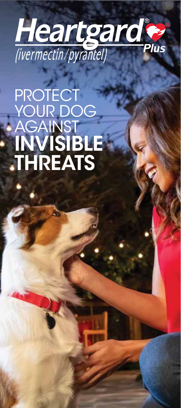

PROTECT YOUR DOG AGAINST INVISIBLE **THREATS**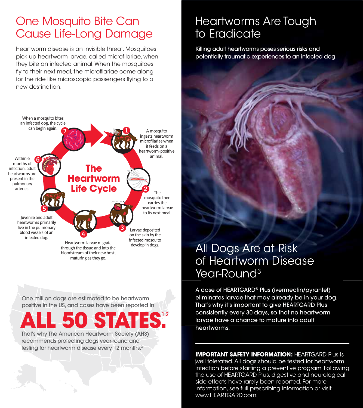### One Mosquito Bite Can Cause Life-Long Damage

Heartworm disease is an invisible threat. Mosquitoes pick up heartworm larvae, called microfilariae, when they bite an infected animal. When the mosquitoes fly to their next meal, the microfilariae come alona for the ride like microscopic passengers flying to a new destination.



One million dogs are estimated to be heartworm positive in the US, and cases have been reported In

# **ALL 50 STATES.**

That's why The American Heartworm Society (AHS) recommends protecting dogs year-round and testing for heartworm disease every 12 months.<sup>3</sup>

### Heartworms Are Tough to Eradicate

Killing adult heartworms poses serious risks and potentially traumatic experiences to an infected dog.

### All Dogs Are at Risk of Heartworm Disease Year-Round<sup>3</sup>

A dose of HEARTGARD® Plus (ivermectin/pyrantel) eliminates larvae that may already be in your dog. That's why it's important to give HEARTGARD Plus consistently every 30 days, so that no heartworm larvae have a chance to mature into adult heartworms.

**IMPORTANT SAFETY INFORMATION: HEARTGARD Plus is** well tolerated. All dogs should be tested for heartworm infection before starting a preventive program. Following the use of HEARTGARD Plus, digestive and neurological side effects have rarely been reported. For more information, see full prescribing information or visit www.HEARTGARD.com.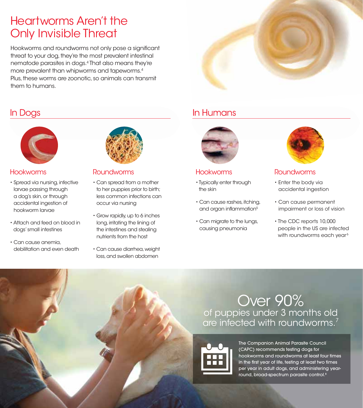### Heartworms Aren't the Only Invisible Threat

Hookworms and roundworms not only pose a significant threat to your dog, they're the most prevalent intestinal nematode parasites in dogs.4 That also means they're more prevalent than whipworms and tapeworms.4 Plus, these worms are zoonotic, so animals can transmit them to humans.





#### Hookworms

- Spread via nursing, infective larvae passing through a dog's skin, or through accidental ingestion of hookworm larvae
- Attach and feed on blood in dogs' small intestines
- Can cause anemia, debilitation and even death



#### Roundworms

- Can spread from a mother to her puppies prior to birth; less common infections can occur via nursing
- Grow rapidly, up to 6 inches long, irritating the lining of the intestines and stealing nutrients from the host
- Can cause diarrhea, weight loss, and swollen abdomen



### In Humans



#### **Hookworms**

- Typically enter through the skin
- Can cause rashes, itching, and organ inflammation<sup>5</sup>
- Can migrate to the lungs, causing pneumonia



#### Roundworms

- Enter the body via accidental ingestion
- Can cause permanent impairment or loss of vision
- The CDC reports 10,000 people in the US are infected with roundworms each year<sup>6</sup>

### Over 90% of puppies under 3 months old are infected with roundworms.<sup>7</sup>



The Companion Animal Parasite Council (CAPC) recommends testing dogs for hookworms and roundworms at least four times in the first year of life, testing at least two times per year in adult dogs, and administering yearround, broad-spectrum parasite control.8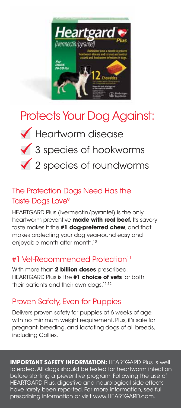

## Protects Your Dog Against:



### The Protection Dogs Need Has the Taste Dogs Love<sup>9</sup>

HEARTGARD Plus (ivermectin/pyrantel) is the only heartworm preventive **made with real beef.** Its savory taste makes it the **#1 dog-preferred chew**, and that makes protecting your dog year-round easy and enjoyable month after month.<sup>10</sup>

#### #1 Vet-Recommended Protection<sup>11</sup>

With more than **2 billion doses** prescribed, HEARTGARD Plus is the **#1 choice of vets** for both their patients and their own dogs.<sup>11,12</sup>

### Proven Safety, Even for Puppies

Delivers proven safety for puppies at 6 weeks of age, with no minimum weight requirement. Plus, it's safe for pregnant, breeding, and lactating dogs of all breeds, including Collies.

**IMPORTANT SAFETY INFORMATION:** HEARTGARD Plus is well tolerated. All dogs should be tested for heartworm infection before starting a preventive program. Following the use of HEARTGARD Plus, digestive and neurological side effects have rarely been reported. For more information, see full prescribing information or visit www.HEARTGARD.com.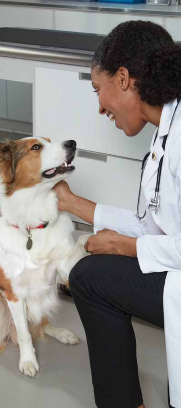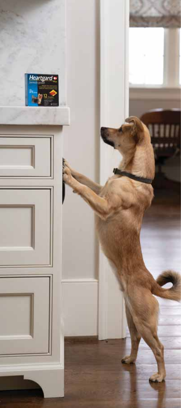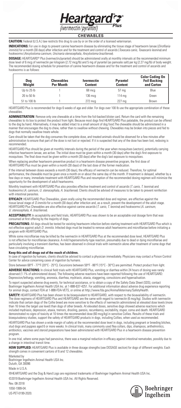Heartgard<sup>re</sup>

#### **CHEWABLES**

**CAUTION:** Federal (U.S.A.) law restricts this drug to use by or on the order of a licensed veterinarian.

**INDICATIONS:** For use in dogs to prevent canine heartworm disease by eliminating the tissue stage of heartworm larvae (Dirofilaria immitis) for a month (30 days) after infection and for the treatment and control of ascarids (Toxocara canis, Toxascaris leonina) and hookworms (Ancylostoma caninum, Uncinaria stenocephala, Ancylostoma braziliense).

**DOSAGE:** HEARTGARD® Plus (ivermectin/pyrantel) should be administered orally at monthly intervals at the recommended minimum dose level of 6 mcg of ivermectin per kilogram (2.72 mcg/lb) and 5 mg of pyrantel (as pamoate salt) per kg (2.27 mg/lb) of body weight. The recommended dosing schedule for prevention of canine heartworm disease and for the treatment and control of ascarids and hookworms is as follows:

| Dog<br>Weight | <b>Chewables</b><br><b>Per Month</b> | <b>Ivermectin</b><br><b>Content</b> | Pyrantel<br>Content | <b>Color Coding On</b><br><b>Foil Backing</b><br>and Carton |
|---------------|--------------------------------------|-------------------------------------|---------------------|-------------------------------------------------------------|
| Up to 25 lb   |                                      | 68 mcg                              | 57 mg               | Blue                                                        |
| 26 to 50 lb   |                                      | 136 mcg                             | 114 ma              | Green                                                       |
| 51 to 100 lb  |                                      | 272 mca                             | 227 mg              | Brown                                                       |

HEARTGARD Plus is recommended for dogs 6 weeks of age and older. For dogs over 100 lb use the appropriate combination of these chewables.

**ADMINISTRATION**: Remove only one chewable at a time from the foil-backed blister card. Return the card with the remaining chewables to its box to protect the product from light. Because most dogs find HEARTGARD Plus palatable, the product can be offered to the dog by hand. Alternatively, it may be added intact to a small amount of dog food.The chewable should be administered in a manner that encourages the dog to chew, rather than to swallow without chewing. Chewables may be broken into pieces and fed to dogs that normally swallow treats whole.

Care should be taken that the dog consumes the complete dose, and treated animals should be observed for a few minutes after administration to ensure that part of the dose is not lost or rejected. If it is suspected that any of the dose has been lost, redosing is recommended.

HEARTGARD Plus should be given at monthly intervals during the period of the year when mosquitoes (vectors), potentially carrying infective heartworm larvae, are active. The initial dose must be given within a month (30 days) after the dog's first exposure to mosquitoes. The final dose must be given within a month (30 days) after the dog's last exposure to mosquitoes.

When replacing another heartworm preventive product in a heartworm disease preventive program, the first dose of HEARTGARD Plus must be given within a month (30 days) of the last dose of the former medication.

If the interval between doses exceeds a month (30 days), the efficacy of ivermectin can be reduced. Therefore, for optimal performance, the chewable must be given once a month on or about the same day of the month. If treatment is delayed, whether by a few days or many, immediate treatment with HEARTGARD Plus and resumption of the recommended dosing regimen will minimize the opportunity for the development of adult heartworms.

Monthly treatment with HEARTGARD Plus also provides effective treatment and control of ascarids (T. canis, T. leonina) and hookworms (A. caninum, U. stenocephala, A. braziliense). Clients should be advised of measures to be taken to prevent reinfection with intestinal parasites.

**EFFICACY:** HEARTGARD Plus Chewables, given orally using the recommended dose and regimen, are effective against the<br>tissue larval stage of *D.immitis* for a month (30 days) after infection and, as a result, prevent the de HEARTGARD Plus Chewables are also effective against canine ascarids (T. canis, T. leonina) and hookworms (A. caninum, U. stenocephala, A. braziliense).

**ACCEPTABILITY:** In acceptability and field trials, HEARTGARD Plus was shown to be an acceptable oral dosage form that was consumed at first offering by the majority of dogs.

**PRECAUTIONS:** All dogs should be tested for existing heartworm infection before starting treatment with HEARTGARD Plus which is not effective against adult D. immitis. Infected dogs must be treated to remove adult heartworms and microfilariae before initiating a program with HEARTGARD Plus.

While some microfilariae may be killed by the ivermectin in HEARTGARD Plus at the recommended dose level, HEARTGARD Plus is not effective for microfilariae clearance. A mild hypersensitivity-type reaction, presumably due to dead or dying microfilariae and<br>particularly involving a transient diarrhea, has been observed in clinical trials with have circulating microfilariae.

#### **Keep this and all drugs out of the reach of children.**

In case of ingestion by humans, clients should be advised to contact a physician immediately. Physicians may contact a Poison Control Center for advice concerning cases of ingestion by humans.

Store between 68°F - 77°F (20°C - 25°C). Excursions between 59°F - 86°F (15°C - 30°C) are permitted. Protect product from light.

**ADVERSE REACTIONS:** In clinical field trials with HEARTGARD Plus, vomiting or diarrhea within 24 hours of dosing was rarely observed (1.1% of administered doses). The following adverse reactions have been reported following the use of HEARTGARD: Depression/lethargy, vomiting, anorexia, diarrhea, mydriasis, ataxia, staggering, convulsions and hypersalivation.

To report suspected adverse drug events, for technical assistance, or to obtain a copy of the Safety Data Sheet (SDS), contact Boehringer Ingelheim Animal Health USA Inc. at 1-888-637-4251. For additional information about adverse drug experience reporting for animal drugs, contact FDA at 1-888-FDA-VETS, or online at http://www.fda.gov/AnimalVeterinary/SafetyHealth.

**SAFETY:** HEARTGARD Plus has been shown to be bioequivalent to HEARTGARD, with respect to the bioavailability of ivermectin.<br>The dose regimens of HEARTGARD Plus and HEARTGARD are the same with regard to ivermectin (6 mcg/k indicate that certain dogs of the Collie breed are more sensitive to the effects of ivermectin administered at elevated dose levels (more than 16 times the target use level) than dogs of other breeds. At elevated doses, sensitive dogs showed adverse reactions which included mydriasis, depression, ataxia, tremors, drooling, paresis, recumbency, excitability, stupor, coma and death. HEARTGARD demonstrated no signs of toxicity at 10 times the recommended dose (60 mcg/kg) in sensitive Collies. Results of these trials and bioequivalency studies, support the safety of HEARTGARD products in dogs, including Collies, when used as recommended.

HEARTGARD Plus has shown a wide margin of safety at the recommended dose level in dogs, including pregnant or breeding bitches, stud dogs and puppies aged 6 or more weeks. In clinical trials, many commonly used flea collars, dips, shampoos, anthelmintics, antibiotics, vaccines and steroid preparations have been administered with HEARTGARD Plus in a heartworm disease prevention program.

In one trial, where some pups had parvovirus, there was a marginal reduction in efficacy against intestinal nematodes, possibly due to a change in intestinal transit time

**HOW SUPPLIED:** HEARTGARD Plus is available in three dosage strengths (see DOSAGE section) for dogs of different weights. Each strength comes in convenient cartons of 6 and 12 chewables.

Marketed by

Boehringer Ingelheim Animal Health USA Inc. Duluth, GA 30096

Made in U.S.A.

®HEARTGARD and the Dog & Hand Logo are registered trademarks of Boehringer Ingelheim Animal Health USA Inc.

©2019 Boehringer Ingelheim Animal Health USA Inc. All Rights Reserved.

Rev. 08-2018

1050-1999-04. US-PET-0199-2020.